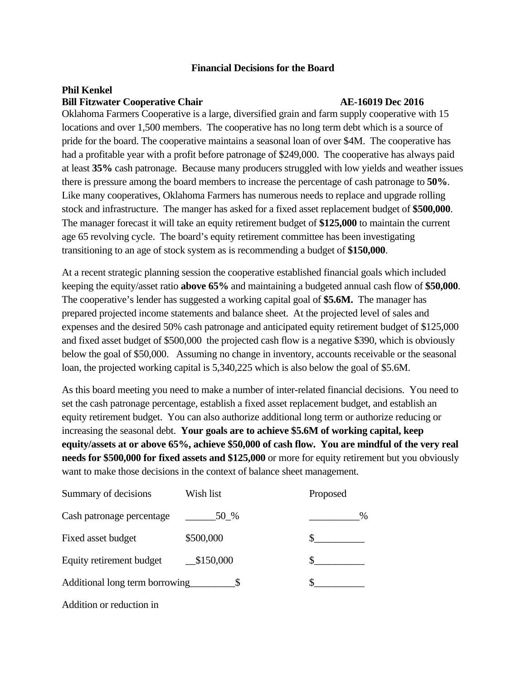## **Financial Decisions for the Board**

## **Phil Kenkel Bill Fitzwater Cooperative Chair AE-16019 Dec 2016**

Oklahoma Farmers Cooperative is a large, diversified grain and farm supply cooperative with 15 locations and over 1,500 members. The cooperative has no long term debt which is a source of pride for the board. The cooperative maintains a seasonal loan of over \$4M. The cooperative has had a profitable year with a profit before patronage of \$249,000. The cooperative has always paid at least **35%** cash patronage. Because many producers struggled with low yields and weather issues there is pressure among the board members to increase the percentage of cash patronage to **50%**. Like many cooperatives, Oklahoma Farmers has numerous needs to replace and upgrade rolling stock and infrastructure. The manger has asked for a fixed asset replacement budget of **\$500,000**. The manager forecast it will take an equity retirement budget of **\$125,000** to maintain the current age 65 revolving cycle. The board's equity retirement committee has been investigating transitioning to an age of stock system as is recommending a budget of **\$150,000**.

At a recent strategic planning session the cooperative established financial goals which included keeping the equity/asset ratio **above 65%** and maintaining a budgeted annual cash flow of **\$50,000**. The cooperative's lender has suggested a working capital goal of **\$5.6M.** The manager has prepared projected income statements and balance sheet. At the projected level of sales and expenses and the desired 50% cash patronage and anticipated equity retirement budget of \$125,000 and fixed asset budget of \$500,000 the projected cash flow is a negative \$390, which is obviously below the goal of \$50,000. Assuming no change in inventory, accounts receivable or the seasonal loan, the projected working capital is 5,340,225 which is also below the goal of \$5.6M.

As this board meeting you need to make a number of inter-related financial decisions. You need to set the cash patronage percentage, establish a fixed asset replacement budget, and establish an equity retirement budget. You can also authorize additional long term or authorize reducing or increasing the seasonal debt. **Your goals are to achieve \$5.6M of working capital, keep equity/assets at or above 65%, achieve \$50,000 of cash flow. You are mindful of the very real needs for \$500,000 for fixed assets and \$125,000** or more for equity retirement but you obviously want to make those decisions in the context of balance sheet management.

| Summary of decisions           | Wish list | Proposed |
|--------------------------------|-----------|----------|
| Cash patronage percentage      | 50 %      | $\%$     |
| Fixed asset budget             | \$500,000 |          |
| Equity retirement budget       | \$150,000 |          |
| Additional long term borrowing |           |          |
|                                |           |          |

Addition or reduction in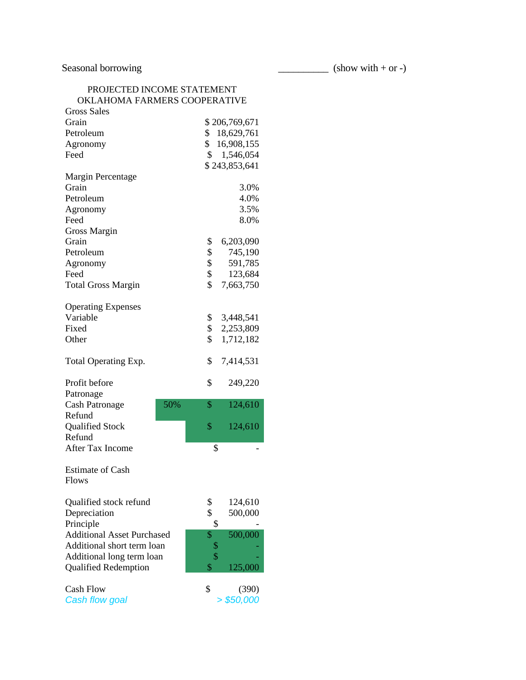Seasonal borrowing (show with + or -)

| PROJECTED INCOME STATEMENT   |
|------------------------------|
| OKLAHOMA FARMERS COOPERATIVE |

| <b>Gross Sales</b>                |                  |
|-----------------------------------|------------------|
| Grain                             | \$206,769,671    |
| Petroleum                         | \$<br>18,629,761 |
| Agronomy                          | \$16,908,155     |
| Feed                              | 1,546,054<br>\$  |
|                                   | \$243,853,641    |
| Margin Percentage                 |                  |
| Grain                             | 3.0%             |
| Petroleum                         | 4.0%             |
| Agronomy                          | 3.5%             |
| Feed                              | 8.0%             |
| <b>Gross Margin</b>               |                  |
| Grain                             | \$<br>6,203,090  |
| Petroleum                         | \$<br>745,190    |
| Agronomy                          | \$<br>591,785    |
| Feed                              | \$<br>123,684    |
| <b>Total Gross Margin</b>         | \$<br>7,663,750  |
|                                   |                  |
| <b>Operating Expenses</b>         |                  |
| Variable                          | \$<br>3,448,541  |
| Fixed                             | \$<br>2,253,809  |
| Other                             | \$<br>1,712,182  |
|                                   |                  |
| Total Operating Exp.              | \$<br>7,414,531  |
|                                   |                  |
| Profit before                     | \$<br>249,220    |
| Patronage                         |                  |
| 50%<br><b>Cash Patronage</b>      | \$<br>124,610    |
| Refund                            |                  |
| Qualified Stock                   | \$<br>124,610    |
| Refund                            |                  |
| After Tax Income                  | \$               |
|                                   |                  |
| <b>Estimate of Cash</b>           |                  |
| <b>Flows</b>                      |                  |
|                                   |                  |
| Qualified stock refund            | \$<br>124,610    |
| Depreciation                      | \$<br>500,000    |
| Principle                         | \$               |
| <b>Additional Asset Purchased</b> | 500,000<br>\$    |
| Additional short term loan        | \$               |
| Additional long term loan         | \$               |
| <b>Qualified Redemption</b>       | \$<br>125,000    |
|                                   |                  |
| <b>Cash Flow</b>                  | \$<br>(390)      |
| Cash flow goal                    | > \$50,000       |